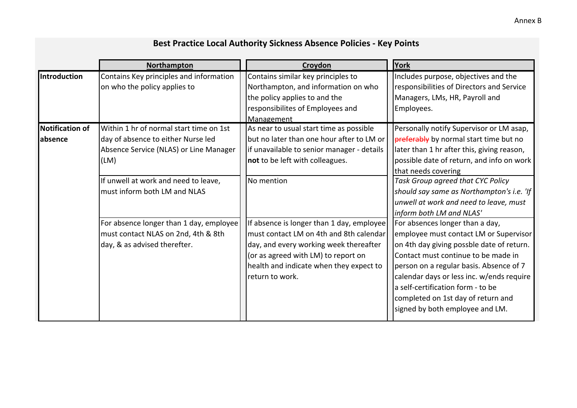|                        | Northampton                             | Croydon                                    | York                                       |
|------------------------|-----------------------------------------|--------------------------------------------|--------------------------------------------|
| <b>Introduction</b>    | Contains Key principles and information | Contains similar key principles to         | Includes purpose, objectives and the       |
|                        | on who the policy applies to            | Northampton, and information on who        | responsibilities of Directors and Service  |
|                        |                                         | the policy applies to and the              | Managers, LMs, HR, Payroll and             |
|                        |                                         | responsibilites of Employees and           | Employees.                                 |
|                        |                                         | Management                                 |                                            |
| <b>Notification of</b> | Within 1 hr of normal start time on 1st | As near to usual start time as possible    | Personally notify Supervisor or LM asap,   |
| labsence               | day of absence to either Nurse led      | but no later than one hour after to LM or  | preferably by normal start time but no     |
|                        | Absence Service (NLAS) or Line Manager  | if unavailable to senior manager - details | later than 1 hr after this, giving reason, |
|                        | (LM)                                    | not to be left with colleagues.            | possible date of return, and info on work  |
|                        |                                         |                                            | that needs covering                        |
|                        | If unwell at work and need to leave,    | No mention                                 | Task Group agreed that CYC Policy          |
|                        | must inform both LM and NLAS            |                                            | should say same as Northampton's i.e. 'If  |
|                        |                                         |                                            | unwell at work and need to leave, must     |
|                        |                                         |                                            | inform both LM and NLAS'                   |
|                        | For absence longer than 1 day, employee | If absence is longer than 1 day, employee  | For absences longer than a day,            |
|                        | must contact NLAS on 2nd, 4th & 8th     | must contact LM on 4th and 8th calendar    | employee must contact LM or Supervisor     |
|                        | day, & as advised therefter.            | day, and every working week thereafter     | on 4th day giving possble date of return.  |
|                        |                                         | (or as agreed with LM) to report on        | Contact must continue to be made in        |
|                        |                                         | health and indicate when they expect to    | person on a regular basis. Absence of 7    |
|                        |                                         | return to work.                            | calendar days or less inc. w/ends require  |
|                        |                                         |                                            | a self-certification form - to be          |
|                        |                                         |                                            | completed on 1st day of return and         |
|                        |                                         |                                            | signed by both employee and LM.            |
|                        |                                         |                                            |                                            |

## **Best Practice Local Authority Sickness Absence Policies ‐ Key Points**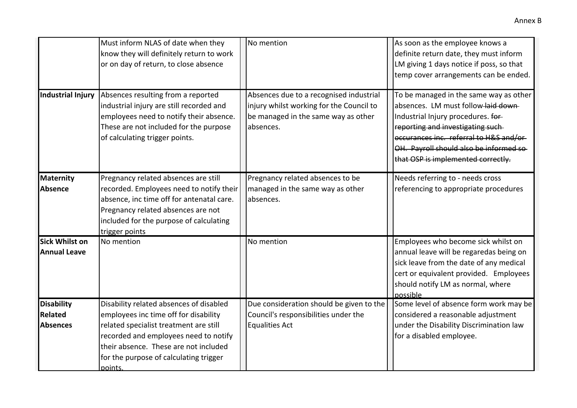|                                                 | Must inform NLAS of date when they<br>know they will definitely return to work<br>or on day of return, to close absence                                                                                                                                           | No mention                                                                                                                              | As soon as the employee knows a<br>definite return date, they must inform<br>LM giving 1 days notice if poss, so that<br>temp cover arrangements can be ended.                                                                                                                      |
|-------------------------------------------------|-------------------------------------------------------------------------------------------------------------------------------------------------------------------------------------------------------------------------------------------------------------------|-----------------------------------------------------------------------------------------------------------------------------------------|-------------------------------------------------------------------------------------------------------------------------------------------------------------------------------------------------------------------------------------------------------------------------------------|
| <b>Industrial Injury</b>                        | Absences resulting from a reported<br>industrial injury are still recorded and<br>employees need to notify their absence.<br>These are not included for the purpose<br>of calculating trigger points.                                                             | Absences due to a recognised industrial<br>injury whilst working for the Council to<br>be managed in the same way as other<br>absences. | To be managed in the same way as other<br>absences. LM must follow laid down<br>Industrial Injury procedures. for-<br>reporting and investigating such-<br>occurances inc. referral to H&S and/or-<br>OH. Payroll should also be informed so-<br>that OSP is implemented correctly. |
| Maternity<br>Absence                            | Pregnancy related absences are still<br>recorded. Employees need to notify their<br>absence, inc time off for antenatal care.<br>Pregnancy related absences are not<br>included for the purpose of calculating<br>trigger points                                  | Pregnancy related absences to be<br>managed in the same way as other<br>absences.                                                       | Needs referring to - needs cross<br>referencing to appropriate procedures                                                                                                                                                                                                           |
| <b>Sick Whilst on</b><br><b>Annual Leave</b>    | No mention                                                                                                                                                                                                                                                        | No mention                                                                                                                              | Employees who become sick whilst on<br>annual leave will be regaredas being on<br>sick leave from the date of any medical<br>cert or equivalent provided. Employees<br>should notify LM as normal, where<br>possible                                                                |
| <b>Disability</b><br>Related<br><b>Absences</b> | Disability related absences of disabled<br>employees inc time off for disability<br>related specialist treatment are still<br>recorded and employees need to notify<br>their absence. These are not included<br>for the purpose of calculating trigger<br>points. | Due consideration should be given to the<br>Council's responsibilities under the<br><b>Equalities Act</b>                               | Some level of absence form work may be<br>considered a reasonable adjustment<br>under the Disability Discrimination law<br>for a disabled employee.                                                                                                                                 |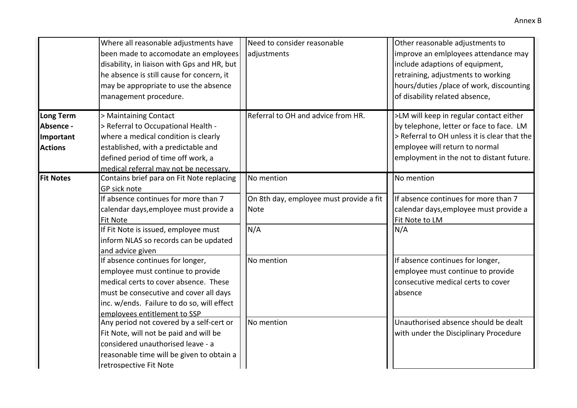|                                                              | Where all reasonable adjustments have<br>been made to accomodate an employees<br>disability, in liaison with Gps and HR, but<br>he absence is still cause for concern, it<br>may be appropriate to use the absence<br>management procedure.                         | Need to consider reasonable<br>adjustments                                  | Other reasonable adjustments to<br>improve an emiployees attendance may<br>include adaptions of equipment,<br>retraining, adjustments to working<br>hours/duties /place of work, discounting<br>of disability related absence, |
|--------------------------------------------------------------|---------------------------------------------------------------------------------------------------------------------------------------------------------------------------------------------------------------------------------------------------------------------|-----------------------------------------------------------------------------|--------------------------------------------------------------------------------------------------------------------------------------------------------------------------------------------------------------------------------|
| <b>Long Term</b><br>Absence -<br>Important<br><b>Actions</b> | > Maintaining Contact<br>> Referral to Occupational Health -<br>where a medical condition is clearly<br>established, with a predictable and<br>defined period of time off work, a<br>medical referral may not be necessary.                                         | Referral to OH and advice from HR.                                          | >LM will keep in regular contact either<br>by telephone, letter or face to face. LM<br>> Referral to OH unless it is clear that the<br>employee will return to normal<br>employment in the not to distant future.              |
| <b>Fit Notes</b>                                             | Contains brief para on Fit Note replacing<br>GP sick note<br>If absence continues for more than 7<br>calendar days, employee must provide a<br><b>Fit Note</b><br>If Fit Note is issued, employee must<br>inform NLAS so records can be updated<br>and advice given | No mention<br>On 8th day, employee must provide a fit<br><b>Note</b><br>N/A | No mention<br>If absence continues for more than 7<br>calendar days, employee must provide a<br>Fit Note to LM<br>N/A                                                                                                          |
|                                                              | If absence continues for longer,<br>employee must continue to provide<br>medical certs to cover absence. These<br>must be consecutive and cover all days<br>inc. w/ends. Failure to do so, will effect<br>employees entitlement to SSP                              | No mention                                                                  | If absence continues for longer,<br>employee must continue to provide<br>consecutive medical certs to cover<br>absence                                                                                                         |
|                                                              | Any period not covered by a self-cert or<br>Fit Note, will not be paid and will be<br>considered unauthorised leave - a<br>reasonable time will be given to obtain a<br>retrospective Fit Note                                                                      | No mention                                                                  | Unauthorised absence should be dealt<br>with under the Disciplinary Procedure                                                                                                                                                  |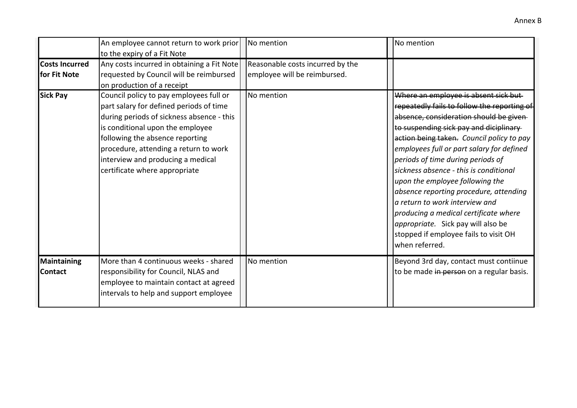|                                       | An employee cannot return to work prior<br>to the expiry of a Fit Note                                                                                                                                                                                                                                                | No mention                                                       | No mention                                                                                                                                                                                                                                                                                                                                                                                                                                                                                                                                                                                                          |
|---------------------------------------|-----------------------------------------------------------------------------------------------------------------------------------------------------------------------------------------------------------------------------------------------------------------------------------------------------------------------|------------------------------------------------------------------|---------------------------------------------------------------------------------------------------------------------------------------------------------------------------------------------------------------------------------------------------------------------------------------------------------------------------------------------------------------------------------------------------------------------------------------------------------------------------------------------------------------------------------------------------------------------------------------------------------------------|
| <b>Costs Incurred</b><br>for Fit Note | Any costs incurred in obtaining a Fit Note<br>requested by Council will be reimbursed<br>on production of a receipt                                                                                                                                                                                                   | Reasonable costs incurred by the<br>employee will be reimbursed. |                                                                                                                                                                                                                                                                                                                                                                                                                                                                                                                                                                                                                     |
| <b>Sick Pay</b>                       | Council policy to pay employees full or<br>part salary for defined periods of time<br>during periods of sickness absence - this<br>is conditional upon the employee<br>following the absence reporting<br>procedure, attending a return to work<br>interview and producing a medical<br>certificate where appropriate | No mention                                                       | Where an employee is absent sick but-<br>repeatedly fails to follow the reporting of<br>absence, consideration should be given-<br>to suspending sick pay and diciplinary<br>action being taken. Council policy to pay<br>employees full or part salary for defined<br>periods of time during periods of<br>sickness absence - this is conditional<br>upon the employee following the<br>absence reporting procedure, attending<br>la return to work interview and<br>producing a medical certificate where<br><i>appropriate.</i> Sick pay will also be<br>stopped if employee fails to visit OH<br>when referred. |
| Maintaining<br><b>Contact</b>         | More than 4 continuous weeks - shared<br>responsibility for Council, NLAS and<br>employee to maintain contact at agreed<br>intervals to help and support employee                                                                                                                                                     | No mention                                                       | Beyond 3rd day, contact must contiinue<br>to be made in person on a regular basis.                                                                                                                                                                                                                                                                                                                                                                                                                                                                                                                                  |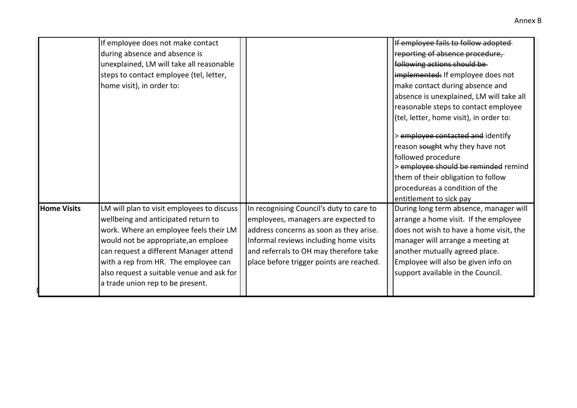|                    | If employee does not make contact          |                                          | If employee fails to follow adopted      |
|--------------------|--------------------------------------------|------------------------------------------|------------------------------------------|
|                    | during absence and absence is              |                                          | reporting of absence procedure,          |
|                    | unexplained, LM will take all reasonable   |                                          | following actions should be              |
|                    | steps to contact employee (tel, letter,    |                                          | implemented: If employee does not        |
|                    | home visit), in order to:                  |                                          | make contact during absence and          |
|                    |                                            |                                          | absence is unexplained, LM will take all |
|                    |                                            |                                          |                                          |
|                    |                                            |                                          | reasonable steps to contact employee     |
|                    |                                            |                                          | (tel, letter, home visit), in order to:  |
|                    |                                            |                                          | > employee contacted and identify        |
|                    |                                            |                                          | reason sought why they have not          |
|                    |                                            |                                          | followed procedure                       |
|                    |                                            |                                          | > employee should be reminded remind     |
|                    |                                            |                                          | them of their obligation to follow       |
|                    |                                            |                                          | procedureas a condition of the           |
|                    |                                            |                                          | entitlement to sick pay                  |
| <b>Home Visits</b> | LM will plan to visit employees to discuss | In recognising Council's duty to care to | During long term absence, manager will   |
|                    | wellbeing and anticipated return to        | employees, managers are expected to      | arrange a home visit. If the employee    |
|                    | work. Where an employee feels their LM     | address concerns as soon as they arise.  | does not wish to have a home visit, the  |
|                    | would not be appropriate, an emploee       | Informal reviews including home visits   | manager will arrange a meeting at        |
|                    | can request a different Manager attend     | and referrals to OH may therefore take   | another mutually agreed place.           |
|                    | with a rep from HR. The employee can       | place before trigger points are reached. | Employee will also be given info on      |
|                    | also request a suitable venue and ask for  |                                          | support available in the Council.        |
|                    | a trade union rep to be present.           |                                          |                                          |
|                    |                                            |                                          |                                          |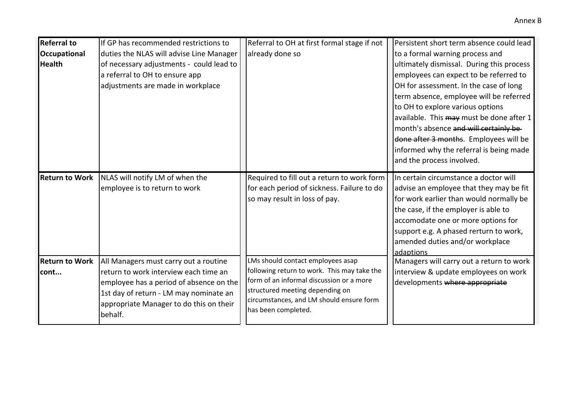| <b>Referral to</b>    | If GP has recommended restrictions to    | Referral to OH at first formal stage if not                                      | Persistent short term absence could lead  |
|-----------------------|------------------------------------------|----------------------------------------------------------------------------------|-------------------------------------------|
| <b>Occupational</b>   | duties the NLAS will advise Line Manager | already done so                                                                  | to a formal warning process and           |
| <b>Health</b>         | of necessary adjustments - could lead to |                                                                                  | ultimately dismissal. During this process |
|                       | a referral to OH to ensure app           |                                                                                  | employees can expect to be referred to    |
|                       | adjustments are made in workplace        |                                                                                  | OH for assessment. In the case of long    |
|                       |                                          |                                                                                  | term absence, employee will be referred   |
|                       |                                          |                                                                                  | to OH to explore various options          |
|                       |                                          |                                                                                  | available. This may must be done after 1  |
|                       |                                          |                                                                                  | month's absence and will certainly be-    |
|                       |                                          |                                                                                  | done after 3 months. Employees will be    |
|                       |                                          |                                                                                  | informed why the referral is being made   |
|                       |                                          |                                                                                  | and the process involved.                 |
| <b>Return to Work</b> | NLAS will notify LM of when the          | Required to fill out a return to work form                                       | In certain circumstance a doctor will     |
|                       | employee is to return to work            | for each period of sickness. Failure to do                                       | advise an employee that they may be fit   |
|                       |                                          | so may result in loss of pay.                                                    | for work earlier than would normally be   |
|                       |                                          |                                                                                  | the case, if the employer is able to      |
|                       |                                          |                                                                                  | accomodate one or more options for        |
|                       |                                          |                                                                                  | support e.g. A phased rerturn to work,    |
|                       |                                          |                                                                                  | amended duties and/or workplace           |
|                       |                                          |                                                                                  | adaptions                                 |
| <b>Return to Work</b> | All Managers must carry out a routine    | LMs should contact employees asap<br>following return to work. This may take the | Managers will carry out a return to work  |
| cont                  | return to work interview each time an    | form of an informal discussion or a more                                         | interview & update employees on work      |
|                       | employee has a period of absence on the  | structured meeting depending on                                                  | developments where appropriate            |
|                       | 1st day of return - LM may nominate an   | circumstances, and LM should ensure form                                         |                                           |
|                       | appropriate Manager to do this on their  | has been completed.                                                              |                                           |
|                       | behalf.                                  |                                                                                  |                                           |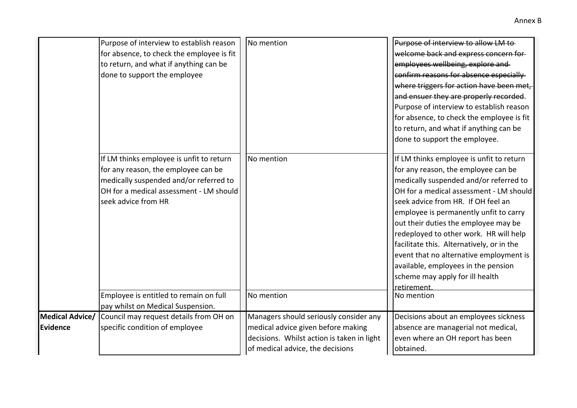|                 | Purpose of interview to establish reason  | No mention                                 | Purpose of interview to allow LM to-      |
|-----------------|-------------------------------------------|--------------------------------------------|-------------------------------------------|
|                 | for absence, to check the employee is fit |                                            | welcome back and express concern for-     |
|                 | to return, and what if anything can be    |                                            | employees wellbeing, explore and          |
|                 | done to support the employee              |                                            | confirm reasons for absence especially    |
|                 |                                           |                                            | where triggers for action have been met,  |
|                 |                                           |                                            | and ensuer they are properly recorded.    |
|                 |                                           |                                            | Purpose of interview to establish reason  |
|                 |                                           |                                            | for absence, to check the employee is fit |
|                 |                                           |                                            | to return, and what if anything can be    |
|                 |                                           |                                            | done to support the employee.             |
|                 | If LM thinks employee is unfit to return  | No mention                                 | If LM thinks employee is unfit to return  |
|                 | for any reason, the employee can be       |                                            | for any reason, the employee can be       |
|                 | medically suspended and/or referred to    |                                            | medically suspended and/or referred to    |
|                 | OH for a medical assessment - LM should   |                                            | OH for a medical assessment - LM should   |
|                 | seek advice from HR                       |                                            | seek advice from HR. If OH feel an        |
|                 |                                           |                                            | employee is permanently unfit to carry    |
|                 |                                           |                                            | out their duties the employee may be      |
|                 |                                           |                                            | redeployed to other work. HR will help    |
|                 |                                           |                                            | facilitate this. Alternatively, or in the |
|                 |                                           |                                            | event that no alternative employment is   |
|                 |                                           |                                            | available, employees in the pension       |
|                 |                                           |                                            | scheme may apply for ill health           |
|                 |                                           |                                            | retirement.                               |
|                 | Employee is entitled to remain on full    | No mention                                 | No mention                                |
|                 | pay whilst on Medical Suspension.         |                                            |                                           |
| Medical Advice/ | Council may request details from OH on    | Managers should seriously consider any     | Decisions about an employees sickness     |
| <b>Evidence</b> | specific condition of employee            | medical advice given before making         | absence are managerial not medical,       |
|                 |                                           | decisions. Whilst action is taken in light | even where an OH report has been          |
|                 |                                           | of medical advice, the decisions           | obtained.                                 |
|                 |                                           |                                            |                                           |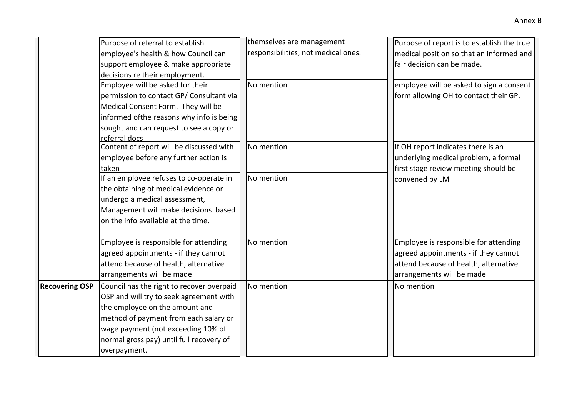|                       | Purpose of referral to establish<br>employee's health & how Council can<br>support employee & make appropriate<br>decisions re their employment.                                                                                                                  | themselves are management<br>responsibilities, not medical ones. | Purpose of report is to establish the true<br>medical position so that an informed and<br>fair decision can be made.                                |
|-----------------------|-------------------------------------------------------------------------------------------------------------------------------------------------------------------------------------------------------------------------------------------------------------------|------------------------------------------------------------------|-----------------------------------------------------------------------------------------------------------------------------------------------------|
|                       | Employee will be asked for their<br>permission to contact GP/ Consultant via<br>Medical Consent Form. They will be<br>informed ofthe reasons why info is being<br>sought and can request to see a copy or<br>referral docs                                        | No mention                                                       | employee will be asked to sign a consent<br>form allowing OH to contact their GP.                                                                   |
|                       | Content of report will be discussed with<br>employee before any further action is<br>taken                                                                                                                                                                        | No mention                                                       | If OH report indicates there is an<br>underlying medical problem, a formal<br>first stage review meeting should be                                  |
|                       | If an employee refuses to co-operate in<br>the obtaining of medical evidence or<br>undergo a medical assessment,<br>Management will make decisions based<br>on the info available at the time.                                                                    | No mention                                                       | convened by LM                                                                                                                                      |
|                       | Employee is responsible for attending<br>agreed appointments - if they cannot<br>attend because of health, alternative<br>arrangements will be made                                                                                                               | No mention                                                       | Employee is responsible for attending<br>agreed appointments - if they cannot<br>attend because of health, alternative<br>arrangements will be made |
| <b>Recovering OSP</b> | Council has the right to recover overpaid<br>OSP and will try to seek agreement with<br>the employee on the amount and<br>method of payment from each salary or<br>wage payment (not exceeding 10% of<br>normal gross pay) until full recovery of<br>overpayment. | No mention                                                       | No mention                                                                                                                                          |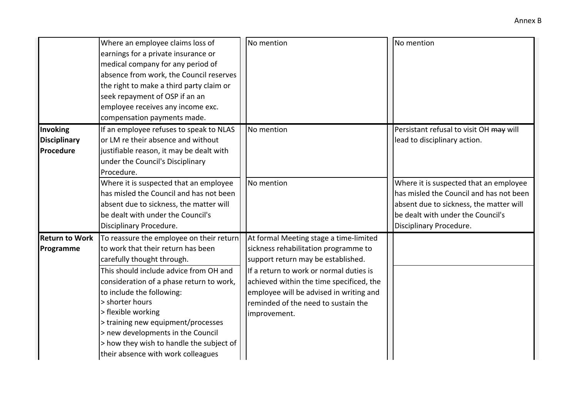|                       | Where an employee claims loss of<br>earnings for a private insurance or<br>medical company for any period of<br>absence from work, the Council reserves<br>the right to make a third party claim or<br>seek repayment of OSP if an an<br>employee receives any income exc.<br>compensation payments made. | No mention                               | No mention                              |
|-----------------------|-----------------------------------------------------------------------------------------------------------------------------------------------------------------------------------------------------------------------------------------------------------------------------------------------------------|------------------------------------------|-----------------------------------------|
| Invoking              | If an employee refuses to speak to NLAS                                                                                                                                                                                                                                                                   | No mention                               | Persistant refusal to visit OH may will |
| <b>Disciplinary</b>   | or LM re their absence and without                                                                                                                                                                                                                                                                        |                                          | lead to disciplinary action.            |
| Procedure             | justifiable reason, it may be dealt with<br>under the Council's Disciplinary<br>Procedure.                                                                                                                                                                                                                |                                          |                                         |
|                       | Where it is suspected that an employee                                                                                                                                                                                                                                                                    | No mention                               | Where it is suspected that an employee  |
|                       | has misled the Council and has not been                                                                                                                                                                                                                                                                   |                                          | has misled the Council and has not been |
|                       | absent due to sickness, the matter will                                                                                                                                                                                                                                                                   |                                          | absent due to sickness, the matter will |
|                       | be dealt with under the Council's                                                                                                                                                                                                                                                                         |                                          | be dealt with under the Council's       |
|                       | Disciplinary Procedure.                                                                                                                                                                                                                                                                                   |                                          | Disciplinary Procedure.                 |
| <b>Return to Work</b> | To reassure the employee on their return                                                                                                                                                                                                                                                                  | At formal Meeting stage a time-limited   |                                         |
| Programme             | to work that their return has been                                                                                                                                                                                                                                                                        | sickness rehabilitation programme to     |                                         |
|                       | carefully thought through.                                                                                                                                                                                                                                                                                | support return may be established.       |                                         |
|                       | This should include advice from OH and                                                                                                                                                                                                                                                                    | If a return to work or normal duties is  |                                         |
|                       | consideration of a phase return to work,                                                                                                                                                                                                                                                                  | achieved within the time specificed, the |                                         |
|                       | to include the following:                                                                                                                                                                                                                                                                                 | employee will be advised in writing and  |                                         |
|                       | > shorter hours                                                                                                                                                                                                                                                                                           | reminded of the need to sustain the      |                                         |
|                       | > flexible working                                                                                                                                                                                                                                                                                        | improvement.                             |                                         |
|                       | > training new equipment/processes                                                                                                                                                                                                                                                                        |                                          |                                         |
|                       | > new developments in the Council                                                                                                                                                                                                                                                                         |                                          |                                         |
|                       | > how they wish to handle the subject of                                                                                                                                                                                                                                                                  |                                          |                                         |
|                       | their absence with work colleagues                                                                                                                                                                                                                                                                        |                                          |                                         |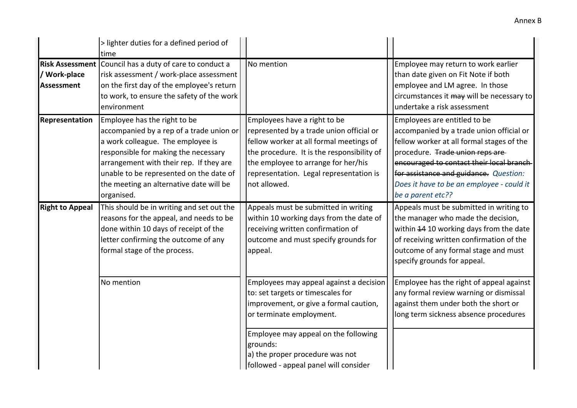|                                                             | > lighter duties for a defined period of<br>time                                                                                                                                                                                                                                                     |                                                                                                                                                                                                                                                                                    |                                                                                                                                                                                                                                                                                                                   |
|-------------------------------------------------------------|------------------------------------------------------------------------------------------------------------------------------------------------------------------------------------------------------------------------------------------------------------------------------------------------------|------------------------------------------------------------------------------------------------------------------------------------------------------------------------------------------------------------------------------------------------------------------------------------|-------------------------------------------------------------------------------------------------------------------------------------------------------------------------------------------------------------------------------------------------------------------------------------------------------------------|
| <b>Risk Assessment</b><br>/ Work-place<br><b>Assessment</b> | Council has a duty of care to conduct a<br>risk assessment / work-place assessment<br>on the first day of the employee's return<br>to work, to ensure the safety of the work<br>environment                                                                                                          | No mention                                                                                                                                                                                                                                                                         | Employee may return to work earlier<br>than date given on Fit Note if both<br>employee and LM agree. In those<br>circumstances it may will be necessary to<br>undertake a risk assessment                                                                                                                         |
| Representation                                              | Employee has the right to be<br>accompanied by a rep of a trade union or<br>a work colleague. The employee is<br>responsible for making the necessary<br>arrangement with their rep. If they are<br>unable to be represented on the date of<br>the meeting an alternative date will be<br>organised. | Employees have a right to be<br>represented by a trade union official or<br>fellow worker at all formal meetings of<br>the procedure. It is the responsibility of<br>the employee to arrange for her/his<br>representation. Legal representation is<br>not allowed.                | Employees are entitled to be<br>accompanied by a trade union official or<br>fellow worker at all formal stages of the<br>procedure. Trade union reps are<br>encouraged to contact their local branch-<br>for assistance and guidance. Question:<br>Does it have to be an employee - could it<br>be a parent etc?? |
| <b>Right to Appeal</b>                                      | This should be in writing and set out the<br>reasons for the appeal, and needs to be<br>done within 10 days of receipt of the<br>letter confirming the outcome of any<br>formal stage of the process.                                                                                                | Appeals must be submitted in writing<br>within 10 working days from the date of<br>receiving written confirmation of<br>outcome and must specify grounds for<br>appeal.                                                                                                            | Appeals must be submitted in writing to<br>the manager who made the decision,<br>within 44 10 working days from the date<br>of receiving written confirmation of the<br>outcome of any formal stage and must<br>specify grounds for appeal.                                                                       |
|                                                             | No mention                                                                                                                                                                                                                                                                                           | Employees may appeal against a decision<br>to: set targets or timescales for<br>improvement, or give a formal caution,<br>or terminate employment.<br>Employee may appeal on the following<br>grounds:<br>a) the proper procedure was not<br>followed - appeal panel will consider | Employee has the right of appeal against<br>any formal review warning or dismissal<br>against them under both the short or<br>long term sickness absence procedures                                                                                                                                               |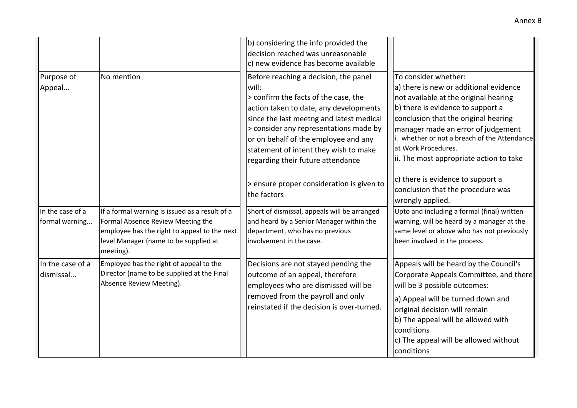|                                    |                                                                                                                                                                                           | b) considering the info provided the<br>decision reached was unreasonable<br>c) new evidence has become available                                                                                                                                                                                                                            |                                                                                                                                                                                                                                                                                                                                              |
|------------------------------------|-------------------------------------------------------------------------------------------------------------------------------------------------------------------------------------------|----------------------------------------------------------------------------------------------------------------------------------------------------------------------------------------------------------------------------------------------------------------------------------------------------------------------------------------------|----------------------------------------------------------------------------------------------------------------------------------------------------------------------------------------------------------------------------------------------------------------------------------------------------------------------------------------------|
| Purpose of<br>Appeal               | No mention                                                                                                                                                                                | Before reaching a decision, the panel<br>will:<br>> confirm the facts of the case, the<br>action taken to date, any developments<br>since the last meetng and latest medical<br>> consider any representations made by<br>or on behalf of the employee and any<br>statement of intent they wish to make<br>regarding their future attendance | To consider whether:<br>a) there is new or additional evidence<br>not available at the original hearing<br>b) there is evidence to support a<br>conclusion that the original hearing<br>manager made an error of judgement<br>i. whether or not a breach of the Attendance<br>at Work Procedures.<br>ii. The most appropriate action to take |
|                                    |                                                                                                                                                                                           | > ensure proper consideration is given to<br>the factors                                                                                                                                                                                                                                                                                     | c) there is evidence to support a<br>conclusion that the procedure was<br>wrongly applied.                                                                                                                                                                                                                                                   |
| In the case of a<br>formal warning | If a formal warning is issued as a result of a<br>Formal Absence Review Meeting the<br>employee has the right to appeal to the next<br>level Manager (name to be supplied at<br>meeting). | Short of dismissal, appeals will be arranged<br>and heard by a Senior Manager within the<br>department, who has no previous<br>involvement in the case.                                                                                                                                                                                      | Upto and including a formal (final) written<br>warning, will be heard by a manager at the<br>same level or above who has not previously<br>been involved in the process.                                                                                                                                                                     |
| In the case of a<br>dismissal      | Employee has the right of appeal to the<br>Director (name to be supplied at the Final<br>Absence Review Meeting).                                                                         | Decisions are not stayed pending the<br>outcome of an appeal, therefore<br>employees who are dismissed will be<br>removed from the payroll and only<br>reinstated if the decision is over-turned.                                                                                                                                            | Appeals will be heard by the Council's<br>Corporate Appeals Committee, and there<br>will be 3 possible outcomes:<br>a) Appeal will be turned down and<br>original decision will remain<br>b) The appeal will be allowed with<br>conditions<br>c) The appeal will be allowed without<br>conditions                                            |